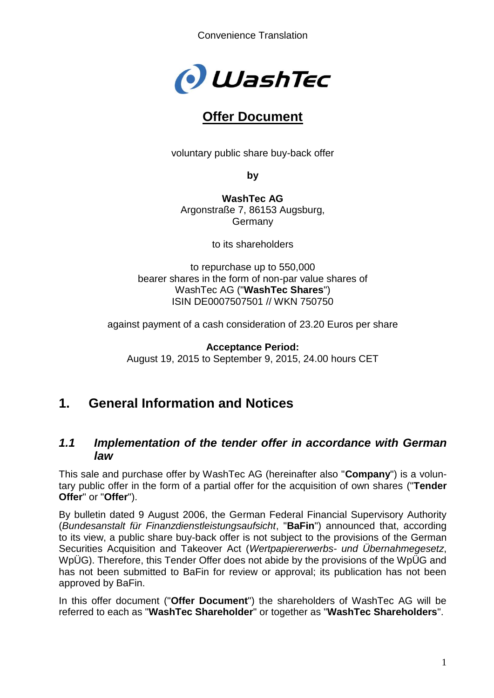

# **Offer Document**

voluntary public share buy-back offer

**by**

**WashTec AG** Argonstraße 7, 86153 Augsburg, **Germany** 

to its shareholders

to repurchase up to 550,000 bearer shares in the form of non-par value shares of WashTec AG ("**WashTec Shares**") ISIN DE0007507501 // WKN 750750

against payment of a cash consideration of 23.20 Euros per share

**Acceptance Period:** August 19, 2015 to September 9, 2015, 24.00 hours CET

# **1. General Information and Notices**

### *1.1 Implementation of the tender offer in accordance with German law*

This sale and purchase offer by WashTec AG (hereinafter also "**Company**") is a voluntary public offer in the form of a partial offer for the acquisition of own shares ("**Tender Offer**" or "**Offer**").

By bulletin dated 9 August 2006, the German Federal Financial Supervisory Authority (*Bundesanstalt für Finanzdienstleistungsaufsicht*, "**BaFin**") announced that, according to its view, a public share buy-back offer is not subject to the provisions of the German Securities Acquisition and Takeover Act (*Wertpapiererwerbs- und Übernahmegesetz*, WpÜG). Therefore, this Tender Offer does not abide by the provisions of the WpÜG and has not been submitted to BaFin for review or approval; its publication has not been approved by BaFin.

In this offer document ("**Offer Document**") the shareholders of WashTec AG will be referred to each as "**WashTec Shareholder**" or together as "**WashTec Shareholders**".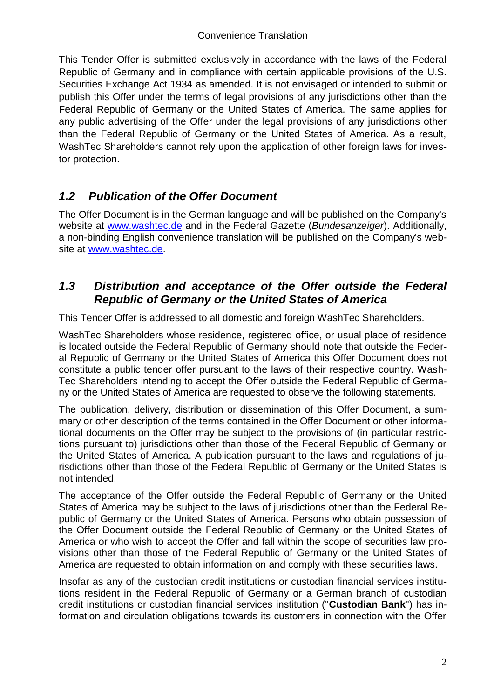This Tender Offer is submitted exclusively in accordance with the laws of the Federal Republic of Germany and in compliance with certain applicable provisions of the U.S. Securities Exchange Act 1934 as amended. It is not envisaged or intended to submit or publish this Offer under the terms of legal provisions of any jurisdictions other than the Federal Republic of Germany or the United States of America. The same applies for any public advertising of the Offer under the legal provisions of any jurisdictions other than the Federal Republic of Germany or the United States of America. As a result, WashTec Shareholders cannot rely upon the application of other foreign laws for investor protection.

## *1.2 Publication of the Offer Document*

The Offer Document is in the German language and will be published on the Company's website at [www.washtec.de](http://www.washtec.de/) and in the Federal Gazette (*Bundesanzeiger*). Additionally, a non-binding English convenience translation will be published on the Company's website at [www.washtec.de.](http://www.washtec.de/)

### *1.3 Distribution and acceptance of the Offer outside the Federal Republic of Germany or the United States of America*

This Tender Offer is addressed to all domestic and foreign WashTec Shareholders.

WashTec Shareholders whose residence, registered office, or usual place of residence is located outside the Federal Republic of Germany should note that outside the Federal Republic of Germany or the United States of America this Offer Document does not constitute a public tender offer pursuant to the laws of their respective country. Wash-Tec Shareholders intending to accept the Offer outside the Federal Republic of Germany or the United States of America are requested to observe the following statements.

The publication, delivery, distribution or dissemination of this Offer Document, a summary or other description of the terms contained in the Offer Document or other informational documents on the Offer may be subject to the provisions of (in particular restrictions pursuant to) jurisdictions other than those of the Federal Republic of Germany or the United States of America. A publication pursuant to the laws and regulations of jurisdictions other than those of the Federal Republic of Germany or the United States is not intended.

The acceptance of the Offer outside the Federal Republic of Germany or the United States of America may be subject to the laws of jurisdictions other than the Federal Republic of Germany or the United States of America. Persons who obtain possession of the Offer Document outside the Federal Republic of Germany or the United States of America or who wish to accept the Offer and fall within the scope of securities law provisions other than those of the Federal Republic of Germany or the United States of America are requested to obtain information on and comply with these securities laws.

Insofar as any of the custodian credit institutions or custodian financial services institutions resident in the Federal Republic of Germany or a German branch of custodian credit institutions or custodian financial services institution ("**Custodian Bank**") has information and circulation obligations towards its customers in connection with the Offer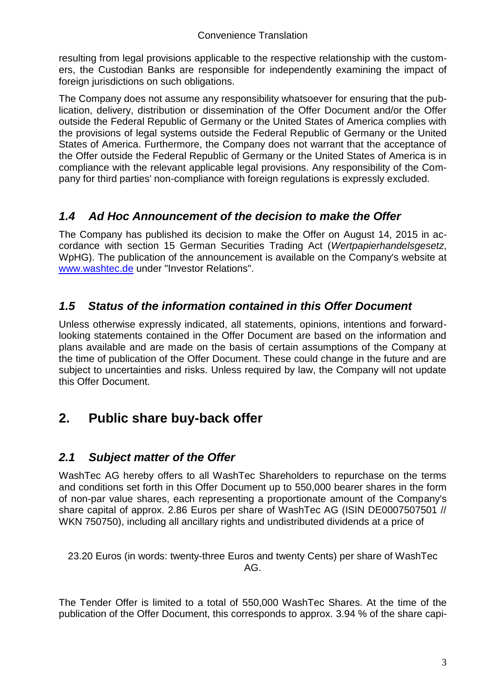resulting from legal provisions applicable to the respective relationship with the customers, the Custodian Banks are responsible for independently examining the impact of foreign jurisdictions on such obligations.

The Company does not assume any responsibility whatsoever for ensuring that the publication, delivery, distribution or dissemination of the Offer Document and/or the Offer outside the Federal Republic of Germany or the United States of America complies with the provisions of legal systems outside the Federal Republic of Germany or the United States of America. Furthermore, the Company does not warrant that the acceptance of the Offer outside the Federal Republic of Germany or the United States of America is in compliance with the relevant applicable legal provisions. Any responsibility of the Company for third parties' non-compliance with foreign regulations is expressly excluded.

## *1.4 Ad Hoc Announcement of the decision to make the Offer*

The Company has published its decision to make the Offer on August 14, 2015 in accordance with section 15 German Securities Trading Act (*Wertpapierhandelsgesetz*, WpHG). The publication of the announcement is available on the Company's website at [www.washtec.de](http://www.washtec.de/) under "Investor Relations".

## *1.5 Status of the information contained in this Offer Document*

Unless otherwise expressly indicated, all statements, opinions, intentions and forwardlooking statements contained in the Offer Document are based on the information and plans available and are made on the basis of certain assumptions of the Company at the time of publication of the Offer Document. These could change in the future and are subject to uncertainties and risks. Unless required by law, the Company will not update this Offer Document.

# **2. Public share buy-back offer**

# *2.1 Subject matter of the Offer*

WashTec AG hereby offers to all WashTec Shareholders to repurchase on the terms and conditions set forth in this Offer Document up to 550,000 bearer shares in the form of non-par value shares, each representing a proportionate amount of the Company's share capital of approx. 2.86 Euros per share of WashTec AG (ISIN DE0007507501 // WKN 750750), including all ancillary rights and undistributed dividends at a price of

23.20 Euros (in words: twenty-three Euros and twenty Cents) per share of WashTec AG.

The Tender Offer is limited to a total of 550,000 WashTec Shares. At the time of the publication of the Offer Document, this corresponds to approx. 3.94 % of the share capi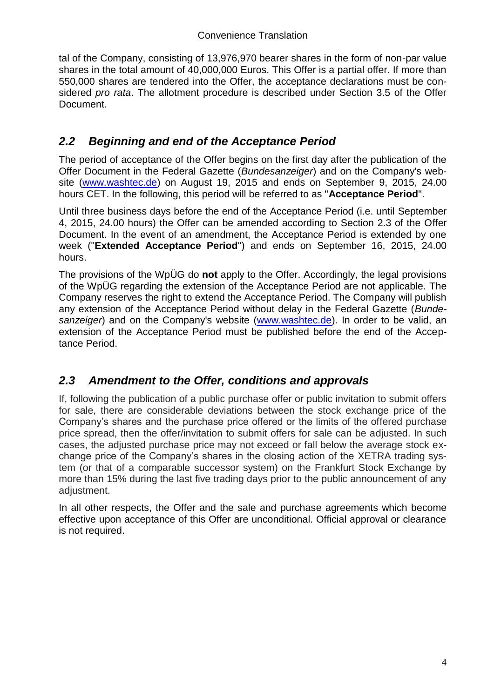tal of the Company, consisting of 13,976,970 bearer shares in the form of non-par value shares in the total amount of 40,000,000 Euros. This Offer is a partial offer. If more than 550,000 shares are tendered into the Offer, the acceptance declarations must be considered *pro rata*. The allotment procedure is described under Section 3.5 of the Offer Document.

## *2.2 Beginning and end of the Acceptance Period*

The period of acceptance of the Offer begins on the first day after the publication of the Offer Document in the Federal Gazette (*Bundesanzeiger*) and on the Company's website [\(www.washtec.de\)](http://www.washtec.de/) on August 19, 2015 and ends on September 9, 2015, 24.00 hours CET. In the following, this period will be referred to as "**Acceptance Period**".

Until three business days before the end of the Acceptance Period (i.e. until September 4, 2015, 24.00 hours) the Offer can be amended according to Section 2.3 of the Offer Document. In the event of an amendment, the Acceptance Period is extended by one week ("**Extended Acceptance Period**") and ends on September 16, 2015, 24.00 hours.

The provisions of the WpÜG do **not** apply to the Offer. Accordingly, the legal provisions of the WpÜG regarding the extension of the Acceptance Period are not applicable. The Company reserves the right to extend the Acceptance Period. The Company will publish any extension of the Acceptance Period without delay in the Federal Gazette (*Bundesanzeiger*) and on the Company's website [\(www.washtec.de\)](http://www.washtec.de/). In order to be valid, an extension of the Acceptance Period must be published before the end of the Acceptance Period.

## *2.3 Amendment to the Offer, conditions and approvals*

If, following the publication of a public purchase offer or public invitation to submit offers for sale, there are considerable deviations between the stock exchange price of the Company's shares and the purchase price offered or the limits of the offered purchase price spread, then the offer/invitation to submit offers for sale can be adjusted. In such cases, the adjusted purchase price may not exceed or fall below the average stock exchange price of the Company's shares in the closing action of the XETRA trading system (or that of a comparable successor system) on the Frankfurt Stock Exchange by more than 15% during the last five trading days prior to the public announcement of any adjustment.

In all other respects, the Offer and the sale and purchase agreements which become effective upon acceptance of this Offer are unconditional. Official approval or clearance is not required.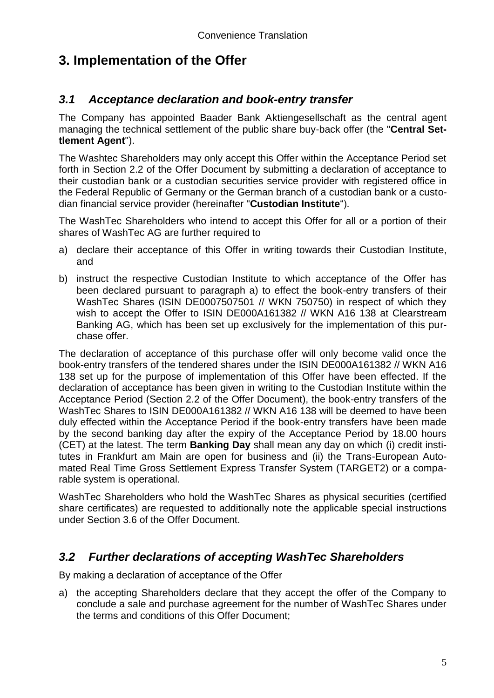# **3. Implementation of the Offer**

### *3.1 Acceptance declaration and book-entry transfer*

The Company has appointed Baader Bank Aktiengesellschaft as the central agent managing the technical settlement of the public share buy-back offer (the "**Central Settlement Agent**").

The Washtec Shareholders may only accept this Offer within the Acceptance Period set forth in Section 2.2 of the Offer Document by submitting a declaration of acceptance to their custodian bank or a custodian securities service provider with registered office in the Federal Republic of Germany or the German branch of a custodian bank or a custodian financial service provider (hereinafter "**Custodian Institute**").

The WashTec Shareholders who intend to accept this Offer for all or a portion of their shares of WashTec AG are further required to

- a) declare their acceptance of this Offer in writing towards their Custodian Institute, and
- b) instruct the respective Custodian Institute to which acceptance of the Offer has been declared pursuant to paragraph a) to effect the book-entry transfers of their WashTec Shares (ISIN DE0007507501 // WKN 750750) in respect of which they wish to accept the Offer to ISIN DE000A161382 // WKN A16 138 at Clearstream Banking AG, which has been set up exclusively for the implementation of this purchase offer.

The declaration of acceptance of this purchase offer will only become valid once the book-entry transfers of the tendered shares under the ISIN DE000A161382 // WKN A16 138 set up for the purpose of implementation of this Offer have been effected. If the declaration of acceptance has been given in writing to the Custodian Institute within the Acceptance Period (Section 2.2 of the Offer Document), the book-entry transfers of the WashTec Shares to ISIN DE000A161382 // WKN A16 138 will be deemed to have been duly effected within the Acceptance Period if the book-entry transfers have been made by the second banking day after the expiry of the Acceptance Period by 18.00 hours (CET) at the latest. The term **Banking Day** shall mean any day on which (i) credit institutes in Frankfurt am Main are open for business and (ii) the Trans-European Automated Real Time Gross Settlement Express Transfer System (TARGET2) or a comparable system is operational.

WashTec Shareholders who hold the WashTec Shares as physical securities (certified share certificates) are requested to additionally note the applicable special instructions under Section 3.6 of the Offer Document.

## *3.2 Further declarations of accepting WashTec Shareholders*

By making a declaration of acceptance of the Offer

a) the accepting Shareholders declare that they accept the offer of the Company to conclude a sale and purchase agreement for the number of WashTec Shares under the terms and conditions of this Offer Document;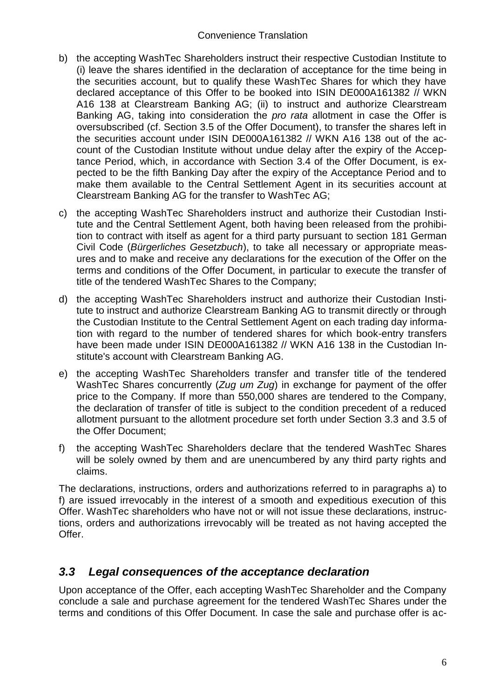- b) the accepting WashTec Shareholders instruct their respective Custodian Institute to (i) leave the shares identified in the declaration of acceptance for the time being in the securities account, but to qualify these WashTec Shares for which they have declared acceptance of this Offer to be booked into ISIN DE000A161382 // WKN A16 138 at Clearstream Banking AG; (ii) to instruct and authorize Clearstream Banking AG, taking into consideration the *pro rata* allotment in case the Offer is oversubscribed (cf. Section 3.5 of the Offer Document), to transfer the shares left in the securities account under ISIN DE000A161382 // WKN A16 138 out of the account of the Custodian Institute without undue delay after the expiry of the Acceptance Period, which, in accordance with Section 3.4 of the Offer Document, is expected to be the fifth Banking Day after the expiry of the Acceptance Period and to make them available to the Central Settlement Agent in its securities account at Clearstream Banking AG for the transfer to WashTec AG;
- c) the accepting WashTec Shareholders instruct and authorize their Custodian Institute and the Central Settlement Agent, both having been released from the prohibition to contract with itself as agent for a third party pursuant to section 181 German Civil Code (*Bürgerliches Gesetzbuch*), to take all necessary or appropriate measures and to make and receive any declarations for the execution of the Offer on the terms and conditions of the Offer Document, in particular to execute the transfer of title of the tendered WashTec Shares to the Company;
- d) the accepting WashTec Shareholders instruct and authorize their Custodian Institute to instruct and authorize Clearstream Banking AG to transmit directly or through the Custodian Institute to the Central Settlement Agent on each trading day information with regard to the number of tendered shares for which book-entry transfers have been made under ISIN DE000A161382 // WKN A16 138 in the Custodian Institute's account with Clearstream Banking AG.
- e) the accepting WashTec Shareholders transfer and transfer title of the tendered WashTec Shares concurrently (*Zug um Zug*) in exchange for payment of the offer price to the Company. If more than 550,000 shares are tendered to the Company, the declaration of transfer of title is subject to the condition precedent of a reduced allotment pursuant to the allotment procedure set forth under Section 3.3 and 3.5 of the Offer Document;
- f) the accepting WashTec Shareholders declare that the tendered WashTec Shares will be solely owned by them and are unencumbered by any third party rights and claims.

The declarations, instructions, orders and authorizations referred to in paragraphs a) to f) are issued irrevocably in the interest of a smooth and expeditious execution of this Offer. WashTec shareholders who have not or will not issue these declarations, instructions, orders and authorizations irrevocably will be treated as not having accepted the Offer.

## *3.3 Legal consequences of the acceptance declaration*

Upon acceptance of the Offer, each accepting WashTec Shareholder and the Company conclude a sale and purchase agreement for the tendered WashTec Shares under the terms and conditions of this Offer Document. In case the sale and purchase offer is ac-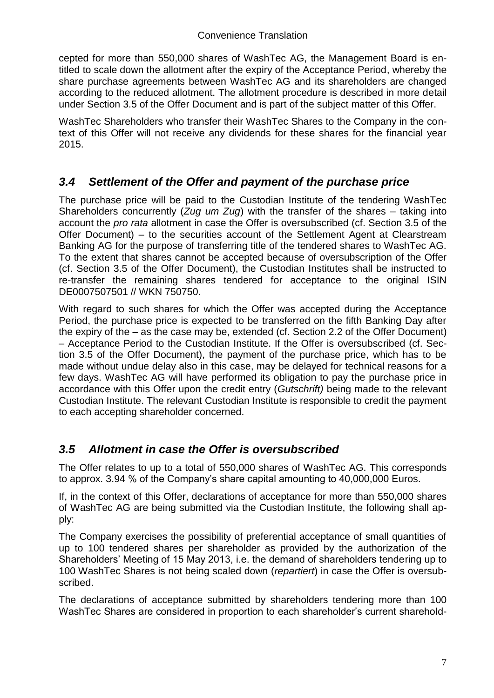cepted for more than 550,000 shares of WashTec AG, the Management Board is entitled to scale down the allotment after the expiry of the Acceptance Period, whereby the share purchase agreements between WashTec AG and its shareholders are changed according to the reduced allotment. The allotment procedure is described in more detail under Section 3.5 of the Offer Document and is part of the subject matter of this Offer.

WashTec Shareholders who transfer their WashTec Shares to the Company in the context of this Offer will not receive any dividends for these shares for the financial year 2015.

## *3.4 Settlement of the Offer and payment of the purchase price*

The purchase price will be paid to the Custodian Institute of the tendering WashTec Shareholders concurrently (*Zug um Zug*) with the transfer of the shares – taking into account the *pro rata* allotment in case the Offer is oversubscribed (cf. Section 3.5 of the Offer Document) – to the securities account of the Settlement Agent at Clearstream Banking AG for the purpose of transferring title of the tendered shares to WashTec AG. To the extent that shares cannot be accepted because of oversubscription of the Offer (cf. Section 3.5 of the Offer Document), the Custodian Institutes shall be instructed to re-transfer the remaining shares tendered for acceptance to the original ISIN DE0007507501 // WKN 750750.

With regard to such shares for which the Offer was accepted during the Acceptance Period, the purchase price is expected to be transferred on the fifth Banking Day after the expiry of the – as the case may be, extended (cf. Section 2.2 of the Offer Document) – Acceptance Period to the Custodian Institute. If the Offer is oversubscribed (cf. Section 3.5 of the Offer Document), the payment of the purchase price, which has to be made without undue delay also in this case, may be delayed for technical reasons for a few days. WashTec AG will have performed its obligation to pay the purchase price in accordance with this Offer upon the credit entry (*Gutschrift)* being made to the relevant Custodian Institute. The relevant Custodian Institute is responsible to credit the payment to each accepting shareholder concerned.

### *3.5 Allotment in case the Offer is oversubscribed*

The Offer relates to up to a total of 550,000 shares of WashTec AG. This corresponds to approx. 3.94 % of the Company's share capital amounting to 40,000,000 Euros.

If, in the context of this Offer, declarations of acceptance for more than 550,000 shares of WashTec AG are being submitted via the Custodian Institute, the following shall apply:

The Company exercises the possibility of preferential acceptance of small quantities of up to 100 tendered shares per shareholder as provided by the authorization of the Shareholders' Meeting of 15 May 2013, i.e. the demand of shareholders tendering up to 100 WashTec Shares is not being scaled down (*repartiert*) in case the Offer is oversubscribed.

The declarations of acceptance submitted by shareholders tendering more than 100 WashTec Shares are considered in proportion to each shareholder's current sharehold-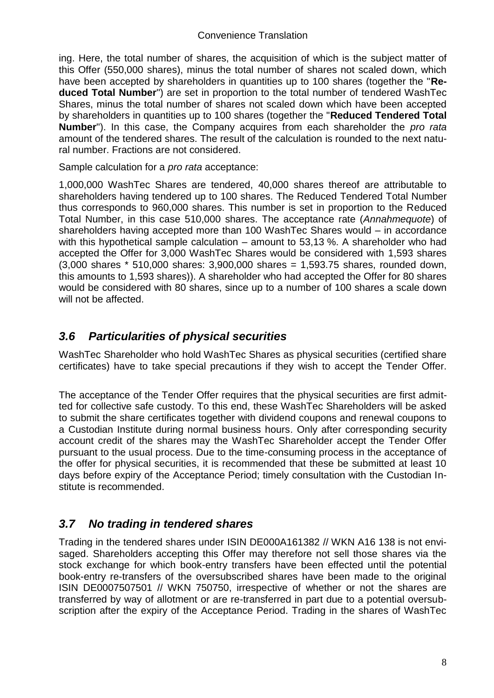ing. Here, the total number of shares, the acquisition of which is the subject matter of this Offer (550,000 shares), minus the total number of shares not scaled down, which have been accepted by shareholders in quantities up to 100 shares (together the "**Reduced Total Number**") are set in proportion to the total number of tendered WashTec Shares, minus the total number of shares not scaled down which have been accepted by shareholders in quantities up to 100 shares (together the "**Reduced Tendered Total Number**"). In this case, the Company acquires from each shareholder the *pro rata*  amount of the tendered shares. The result of the calculation is rounded to the next natural number. Fractions are not considered.

Sample calculation for a *pro rata* acceptance:

1,000,000 WashTec Shares are tendered, 40,000 shares thereof are attributable to shareholders having tendered up to 100 shares. The Reduced Tendered Total Number thus corresponds to 960,000 shares. This number is set in proportion to the Reduced Total Number, in this case 510,000 shares. The acceptance rate (*Annahmequote*) of shareholders having accepted more than 100 WashTec Shares would – in accordance with this hypothetical sample calculation – amount to 53,13 %. A shareholder who had accepted the Offer for 3,000 WashTec Shares would be considered with 1,593 shares (3,000 shares \* 510,000 shares: 3,900,000 shares = 1,593.75 shares, rounded down, this amounts to 1,593 shares)). A shareholder who had accepted the Offer for 80 shares would be considered with 80 shares, since up to a number of 100 shares a scale down will not be affected.

## *3.6 Particularities of physical securities*

WashTec Shareholder who hold WashTec Shares as physical securities (certified share certificates) have to take special precautions if they wish to accept the Tender Offer.

The acceptance of the Tender Offer requires that the physical securities are first admitted for collective safe custody. To this end, these WashTec Shareholders will be asked to submit the share certificates together with dividend coupons and renewal coupons to a Custodian Institute during normal business hours. Only after corresponding security account credit of the shares may the WashTec Shareholder accept the Tender Offer pursuant to the usual process. Due to the time-consuming process in the acceptance of the offer for physical securities, it is recommended that these be submitted at least 10 days before expiry of the Acceptance Period; timely consultation with the Custodian Institute is recommended.

## *3.7 No trading in tendered shares*

Trading in the tendered shares under ISIN DE000A161382 // WKN A16 138 is not envisaged. Shareholders accepting this Offer may therefore not sell those shares via the stock exchange for which book-entry transfers have been effected until the potential book-entry re-transfers of the oversubscribed shares have been made to the original ISIN DE0007507501 // WKN 750750, irrespective of whether or not the shares are transferred by way of allotment or are re-transferred in part due to a potential oversubscription after the expiry of the Acceptance Period. Trading in the shares of WashTec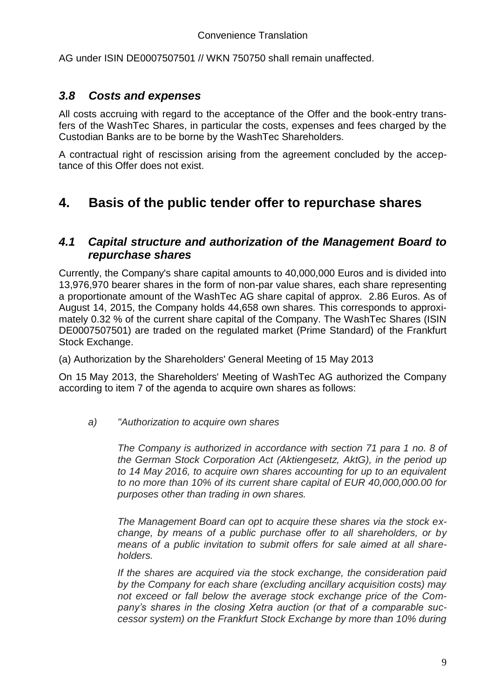AG under ISIN DE0007507501 // WKN 750750 shall remain unaffected.

### *3.8 Costs and expenses*

All costs accruing with regard to the acceptance of the Offer and the book-entry transfers of the WashTec Shares, in particular the costs, expenses and fees charged by the Custodian Banks are to be borne by the WashTec Shareholders.

A contractual right of rescission arising from the agreement concluded by the acceptance of this Offer does not exist.

# **4. Basis of the public tender offer to repurchase shares**

### *4.1 Capital structure and authorization of the Management Board to repurchase shares*

Currently, the Company's share capital amounts to 40,000,000 Euros and is divided into 13,976,970 bearer shares in the form of non-par value shares, each share representing a proportionate amount of the WashTec AG share capital of approx. 2.86 Euros. As of August 14, 2015, the Company holds 44,658 own shares. This corresponds to approximately 0.32 % of the current share capital of the Company. The WashTec Shares (ISIN DE0007507501) are traded on the regulated market (Prime Standard) of the Frankfurt Stock Exchange.

(a) Authorization by the Shareholders' General Meeting of 15 May 2013

On 15 May 2013, the Shareholders' Meeting of WashTec AG authorized the Company according to item 7 of the agenda to acquire own shares as follows:

#### *a) "Authorization to acquire own shares*

*The Company is authorized in accordance with section 71 para 1 no. 8 of the German Stock Corporation Act (Aktiengesetz, AktG), in the period up to 14 May 2016, to acquire own shares accounting for up to an equivalent to no more than 10% of its current share capital of EUR 40,000,000.00 for purposes other than trading in own shares.* 

*The Management Board can opt to acquire these shares via the stock exchange, by means of a public purchase offer to all shareholders, or by means of a public invitation to submit offers for sale aimed at all shareholders.*

*If the shares are acquired via the stock exchange, the consideration paid by the Company for each share (excluding ancillary acquisition costs) may not exceed or fall below the average stock exchange price of the Company's shares in the closing Xetra auction (or that of a comparable successor system) on the Frankfurt Stock Exchange by more than 10% during*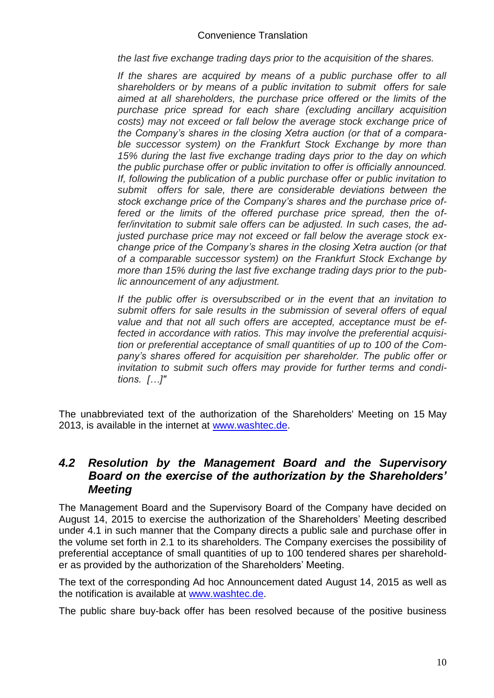*the last five exchange trading days prior to the acquisition of the shares.*

*If the shares are acquired by means of a public purchase offer to all shareholders or by means of a public invitation to submit offers for sale aimed at all shareholders, the purchase price offered or the limits of the purchase price spread for each share (excluding ancillary acquisition costs) may not exceed or fall below the average stock exchange price of the Company's shares in the closing Xetra auction (or that of a comparable successor system) on the Frankfurt Stock Exchange by more than 15% during the last five exchange trading days prior to the day on which the public purchase offer or public invitation to offer is officially announced. If, following the publication of a public purchase offer or public invitation to submit offers for sale, there are considerable deviations between the stock exchange price of the Company's shares and the purchase price offered or the limits of the offered purchase price spread, then the offer/invitation to submit sale offers can be adjusted. In such cases, the adjusted purchase price may not exceed or fall below the average stock exchange price of the Company's shares in the closing Xetra auction (or that of a comparable successor system) on the Frankfurt Stock Exchange by more than 15% during the last five exchange trading days prior to the public announcement of any adjustment.*

*If the public offer is oversubscribed or in the event that an invitation to submit offers for sale results in the submission of several offers of equal value and that not all such offers are accepted, acceptance must be effected in accordance with ratios. This may involve the preferential acquisition or preferential acceptance of small quantities of up to 100 of the Company's shares offered for acquisition per shareholder. The public offer or invitation to submit such offers may provide for further terms and conditions. […]"*

The unabbreviated text of the authorization of the Shareholders' Meeting on 15 May 2013, is available in the internet at [www.washtec.de.](http://www.washtec.de/)

### *4.2 Resolution by the Management Board and the Supervisory Board on the exercise of the authorization by the Shareholders' Meeting*

The Management Board and the Supervisory Board of the Company have decided on August 14, 2015 to exercise the authorization of the Shareholders' Meeting described under 4.1 in such manner that the Company directs a public sale and purchase offer in the volume set forth in 2.1 to its shareholders. The Company exercises the possibility of preferential acceptance of small quantities of up to 100 tendered shares per shareholder as provided by the authorization of the Shareholders' Meeting.

The text of the corresponding Ad hoc Announcement dated August 14, 2015 as well as the notification is available at [www.washtec.de.](http://www.washtec.de/)

The public share buy-back offer has been resolved because of the positive business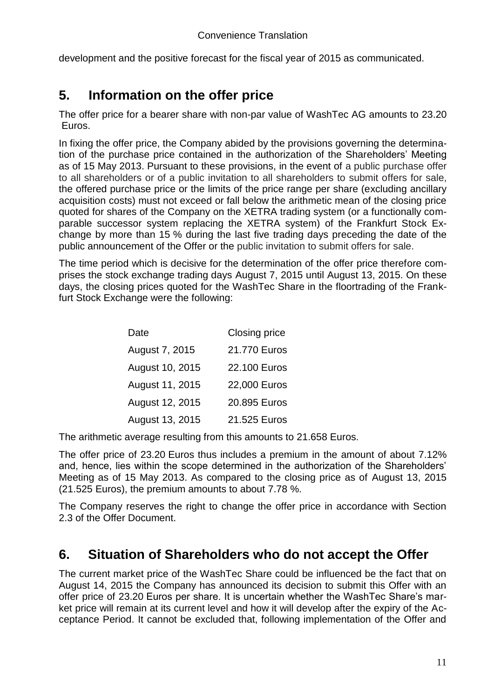development and the positive forecast for the fiscal year of 2015 as communicated.

# **5. Information on the offer price**

The offer price for a bearer share with non-par value of WashTec AG amounts to 23.20 Euros.

In fixing the offer price, the Company abided by the provisions governing the determination of the purchase price contained in the authorization of the Shareholders' Meeting as of 15 May 2013. Pursuant to these provisions, in the event of a public purchase offer to all shareholders or of a public invitation to all shareholders to submit offers for sale, the offered purchase price or the limits of the price range per share (excluding ancillary acquisition costs) must not exceed or fall below the arithmetic mean of the closing price quoted for shares of the Company on the XETRA trading system (or a functionally comparable successor system replacing the XETRA system) of the Frankfurt Stock Exchange by more than 15 % during the last five trading days preceding the date of the public announcement of the Offer or the public invitation to submit offers for sale.

The time period which is decisive for the determination of the offer price therefore comprises the stock exchange trading days August 7, 2015 until August 13, 2015. On these days, the closing prices quoted for the WashTec Share in the floortrading of the Frankfurt Stock Exchange were the following:

| Date            | Closing price |
|-----------------|---------------|
| August 7, 2015  | 21.770 Euros  |
| August 10, 2015 | 22.100 Euros  |
| August 11, 2015 | 22,000 Euros  |
| August 12, 2015 | 20.895 Euros  |
| August 13, 2015 | 21.525 Euros  |

The arithmetic average resulting from this amounts to 21.658 Euros.

The offer price of 23.20 Euros thus includes a premium in the amount of about 7.12% and, hence, lies within the scope determined in the authorization of the Shareholders' Meeting as of 15 May 2013. As compared to the closing price as of August 13, 2015 (21.525 Euros), the premium amounts to about 7.78 %.

The Company reserves the right to change the offer price in accordance with Section 2.3 of the Offer Document.

# **6. Situation of Shareholders who do not accept the Offer**

The current market price of the WashTec Share could be influenced be the fact that on August 14, 2015 the Company has announced its decision to submit this Offer with an offer price of 23.20 Euros per share. It is uncertain whether the WashTec Share's market price will remain at its current level and how it will develop after the expiry of the Acceptance Period. It cannot be excluded that, following implementation of the Offer and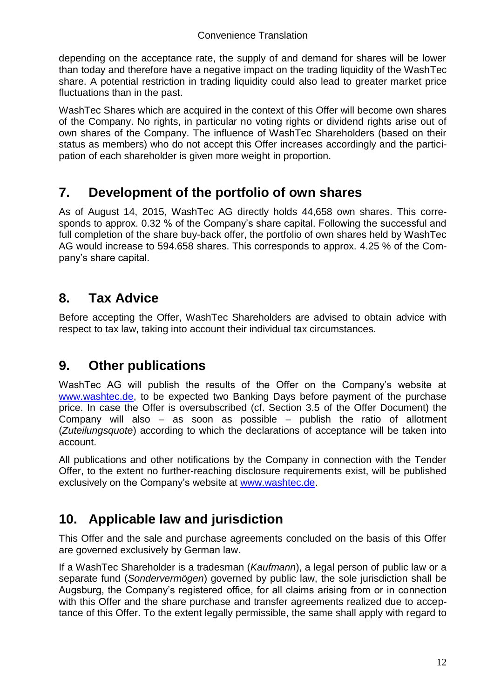depending on the acceptance rate, the supply of and demand for shares will be lower than today and therefore have a negative impact on the trading liquidity of the WashTec share. A potential restriction in trading liquidity could also lead to greater market price fluctuations than in the past.

WashTec Shares which are acquired in the context of this Offer will become own shares of the Company. No rights, in particular no voting rights or dividend rights arise out of own shares of the Company. The influence of WashTec Shareholders (based on their status as members) who do not accept this Offer increases accordingly and the participation of each shareholder is given more weight in proportion.

# **7. Development of the portfolio of own shares**

As of August 14, 2015, WashTec AG directly holds 44,658 own shares. This corresponds to approx. 0.32 % of the Company's share capital. Following the successful and full completion of the share buy-back offer, the portfolio of own shares held by WashTec AG would increase to 594.658 shares. This corresponds to approx. 4.25 % of the Company's share capital.

# **8. Tax Advice**

Before accepting the Offer, WashTec Shareholders are advised to obtain advice with respect to tax law, taking into account their individual tax circumstances.

# **9. Other publications**

WashTec AG will publish the results of the Offer on the Company's website at [www.washtec.de,](http://www.washtec.de/) to be expected two Banking Days before payment of the purchase price. In case the Offer is oversubscribed (cf. Section 3.5 of the Offer Document) the Company will also – as soon as possible – publish the ratio of allotment (*Zuteilungsquote*) according to which the declarations of acceptance will be taken into account.

All publications and other notifications by the Company in connection with the Tender Offer, to the extent no further-reaching disclosure requirements exist, will be published exclusively on the Company's website at [www.washtec.de.](http://www.washtec.de/)

# **10. Applicable law and jurisdiction**

This Offer and the sale and purchase agreements concluded on the basis of this Offer are governed exclusively by German law.

If a WashTec Shareholder is a tradesman (*Kaufmann*), a legal person of public law or a separate fund (*Sondervermögen*) governed by public law, the sole jurisdiction shall be Augsburg, the Company's registered office, for all claims arising from or in connection with this Offer and the share purchase and transfer agreements realized due to acceptance of this Offer. To the extent legally permissible, the same shall apply with regard to